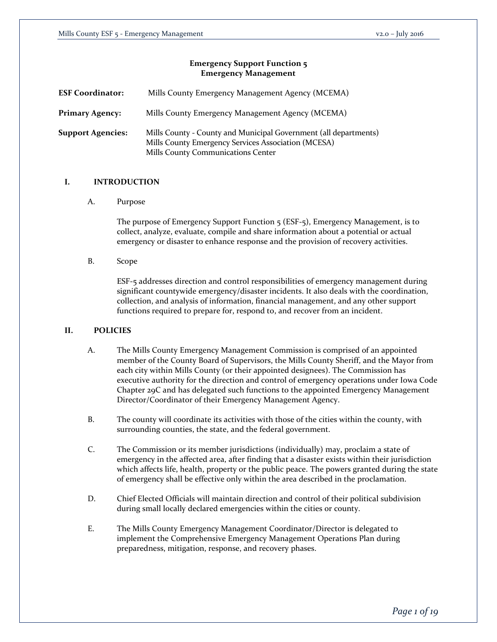# **Emergency Support Function 5 Emergency Management**

| <b>ESF Coordinator:</b>  | Mills County Emergency Management Agency (MCEMA)                                                                                                              |  |
|--------------------------|---------------------------------------------------------------------------------------------------------------------------------------------------------------|--|
| <b>Primary Agency:</b>   | Mills County Emergency Management Agency (MCEMA)                                                                                                              |  |
| <b>Support Agencies:</b> | Mills County - County and Municipal Government (all departments)<br>Mills County Emergency Services Association (MCESA)<br>Mills County Communications Center |  |

# **I. INTRODUCTION**

A. Purpose

The purpose of Emergency Support Function 5 (ESF-5), Emergency Management, is to collect, analyze, evaluate, compile and share information about a potential or actual emergency or disaster to enhance response and the provision of recovery activities.

B. Scope

ESF-5 addresses direction and control responsibilities of emergency management during significant countywide emergency/disaster incidents. It also deals with the coordination, collection, and analysis of information, financial management, and any other support functions required to prepare for, respond to, and recover from an incident.

# **II. POLICIES**

- A. The Mills County Emergency Management Commission is comprised of an appointed member of the County Board of Supervisors, the Mills County Sheriff, and the Mayor from each city within Mills County (or their appointed designees). The Commission has executive authority for the direction and control of emergency operations under Iowa Code Chapter 29C and has delegated such functions to the appointed Emergency Management Director/Coordinator of their Emergency Management Agency.
- B. The county will coordinate its activities with those of the cities within the county, with surrounding counties, the state, and the federal government.
- C. The Commission or its member jurisdictions (individually) may, proclaim a state of emergency in the affected area, after finding that a disaster exists within their jurisdiction which affects life, health, property or the public peace. The powers granted during the state of emergency shall be effective only within the area described in the proclamation.
- D. Chief Elected Officials will maintain direction and control of their political subdivision during small locally declared emergencies within the cities or county.
- E. The Mills County Emergency Management Coordinator/Director is delegated to implement the Comprehensive Emergency Management Operations Plan during preparedness, mitigation, response, and recovery phases.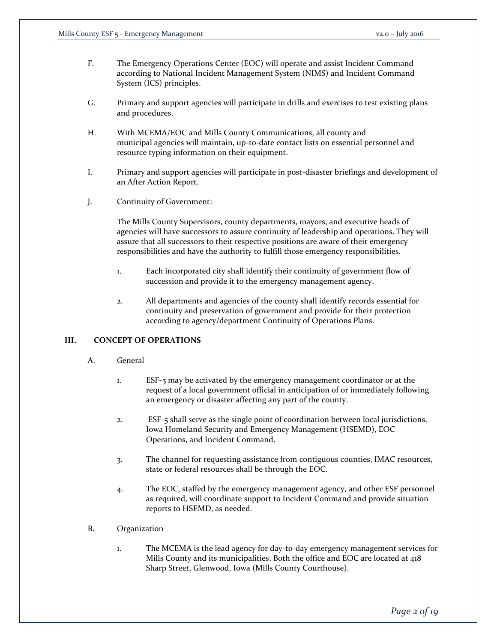- F. The Emergency Operations Center (EOC) will operate and assist Incident Command according to National Incident Management System (NIMS) and Incident Command System (ICS) principles.
- G. Primary and support agencies will participate in drills and exercises to test existing plans and procedures.
- H. With MCEMA/EOC and Mills County Communications, all county and municipal agencies will maintain, up-to-date contact lists on essential personnel and resource typing information on their equipment.
- I. Primary and support agencies will participate in post-disaster briefings and development of an After Action Report.
- J. Continuity of Government:

The Mills County Supervisors, county departments, mayors, and executive heads of agencies will have successors to assure continuity of leadership and operations. They will assure that all successors to their respective positions are aware of their emergency responsibilities and have the authority to fulfill those emergency responsibilities.

- 1. Each incorporated city shall identify their continuity of government flow of succession and provide it to the emergency management agency.
- 2. All departments and agencies of the county shall identify records essential for continuity and preservation of government and provide for their protection according to agency/department Continuity of Operations Plans.

## **III. CONCEPT OF OPERATIONS**

- A. General
	- 1. ESF-5 may be activated by the emergency management coordinator or at the request of a local government official in anticipation of or immediately following an emergency or disaster affecting any part of the county.
	- 2. ESF-5 shall serve as the single point of coordination between local jurisdictions, Iowa Homeland Security and Emergency Management (HSEMD), EOC Operations, and Incident Command.
	- 3. The channel for requesting assistance from contiguous counties, IMAC resources, state or federal resources shall be through the EOC.
	- 4. The EOC, staffed by the emergency management agency, and other ESF personnel as required, will coordinate support to Incident Command and provide situation reports to HSEMD, as needed.
- B. Organization
	- 1. The MCEMA is the lead agency for day-to-day emergency management services for Mills County and its municipalities. Both the office and EOC are located at 418 Sharp Street, Glenwood, Iowa (Mills County Courthouse).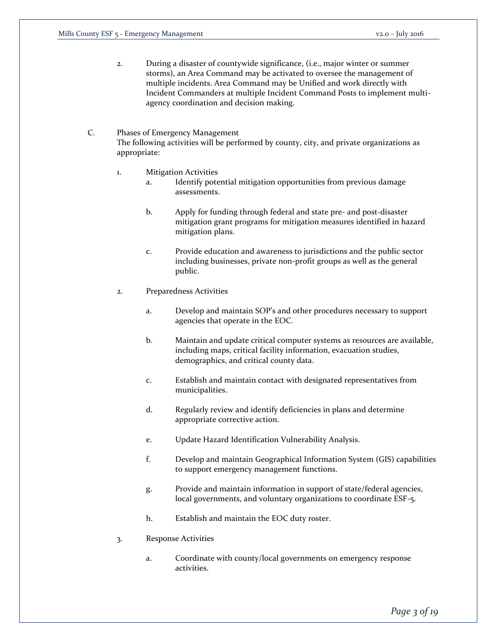2. During a disaster of countywide significance, (i.e., major winter or summer storms), an Area Command may be activated to oversee the management of multiple incidents. Area Command may be Unified and work directly with Incident Commanders at multiple Incident Command Posts to implement multiagency coordination and decision making.

# C. Phases of Emergency Management The following activities will be performed by county, city, and private organizations as appropriate:

- 1. Mitigation Activities
	- a. Identify potential mitigation opportunities from previous damage assessments.
	- b. Apply for funding through federal and state pre- and post-disaster mitigation grant programs for mitigation measures identified in hazard mitigation plans.
	- c. Provide education and awareness to jurisdictions and the public sector including businesses, private non-profit groups as well as the general public.
- 2. Preparedness Activities
	- a. Develop and maintain SOP's and other procedures necessary to support agencies that operate in the EOC.
	- b. Maintain and update critical computer systems as resources are available, including maps, critical facility information, evacuation studies, demographics, and critical county data.
	- c. Establish and maintain contact with designated representatives from municipalities.
	- d. Regularly review and identify deficiencies in plans and determine appropriate corrective action.
	- e. Update Hazard Identification Vulnerability Analysis.
	- f. Develop and maintain Geographical Information System (GIS) capabilities to support emergency management functions.
	- g. Provide and maintain information in support of state/federal agencies, local governments, and voluntary organizations to coordinate ESF-5.
	- h. Establish and maintain the EOC duty roster.
- 3. Response Activities
	- a. Coordinate with county/local governments on emergency response activities.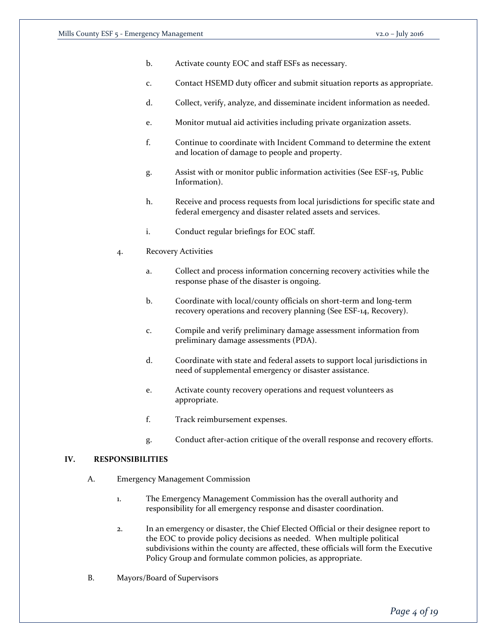- b. Activate county EOC and staff ESFs as necessary.
- c. Contact HSEMD duty officer and submit situation reports as appropriate.
- d. Collect, verify, analyze, and disseminate incident information as needed.
- e. Monitor mutual aid activities including private organization assets.
- f. Continue to coordinate with Incident Command to determine the extent and location of damage to people and property.
- g. Assist with or monitor public information activities (See ESF-15, Public Information).
- h. Receive and process requests from local jurisdictions for specific state and federal emergency and disaster related assets and services.
- i. Conduct regular briefings for EOC staff.
- 4. Recovery Activities
	- a. Collect and process information concerning recovery activities while the response phase of the disaster is ongoing.
	- b. Coordinate with local/county officials on short-term and long-term recovery operations and recovery planning (See ESF-14, Recovery).
	- c. Compile and verify preliminary damage assessment information from preliminary damage assessments (PDA).
	- d. Coordinate with state and federal assets to support local jurisdictions in need of supplemental emergency or disaster assistance.
	- e. Activate county recovery operations and request volunteers as appropriate.
	- f. Track reimbursement expenses.
	- g. Conduct after-action critique of the overall response and recovery efforts.

## **IV. RESPONSIBILITIES**

- A. Emergency Management Commission
	- 1. The Emergency Management Commission has the overall authority and responsibility for all emergency response and disaster coordination.
	- 2. In an emergency or disaster, the Chief Elected Official or their designee report to the EOC to provide policy decisions as needed. When multiple political subdivisions within the county are affected, these officials will form the Executive Policy Group and formulate common policies, as appropriate.
- B. Mayors/Board of Supervisors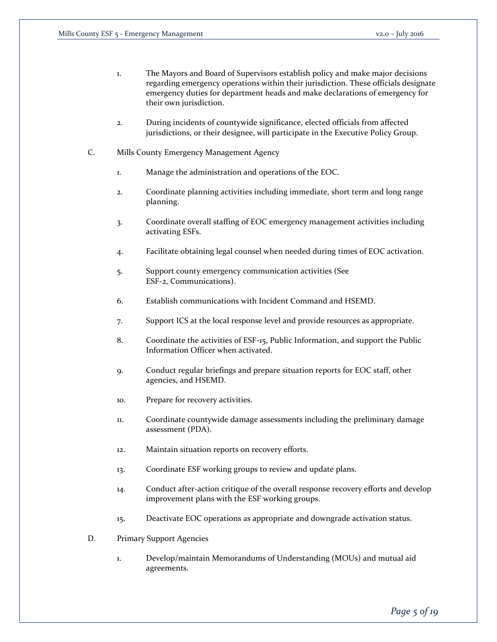- 1. The Mayors and Board of Supervisors establish policy and make major decisions regarding emergency operations within their jurisdiction. These officials designate emergency duties for department heads and make declarations of emergency for their own jurisdiction.
- 2. During incidents of countywide significance, elected officials from affected jurisdictions, or their designee, will participate in the Executive Policy Group.
- C. Mills County Emergency Management Agency
	- 1. Manage the administration and operations of the EOC.
	- 2. Coordinate planning activities including immediate, short term and long range planning.
	- 3. Coordinate overall staffing of EOC emergency management activities including activating ESFs.
	- 4. Facilitate obtaining legal counsel when needed during times of EOC activation.
	- 5. Support county emergency communication activities (See ESF-2, Communications).
	- 6. Establish communications with Incident Command and HSEMD.
	- 7. Support ICS at the local response level and provide resources as appropriate.
	- 8. Coordinate the activities of ESF-15, Public Information, and support the Public Information Officer when activated.
	- 9. Conduct regular briefings and prepare situation reports for EOC staff, other agencies, and HSEMD.
	- 10. Prepare for recovery activities.
	- 11. Coordinate countywide damage assessments including the preliminary damage assessment (PDA).
	- 12. Maintain situation reports on recovery efforts.
	- 13. Coordinate ESF working groups to review and update plans.
	- 14. Conduct after-action critique of the overall response recovery efforts and develop improvement plans with the ESF working groups.
	- 15. Deactivate EOC operations as appropriate and downgrade activation status.
- D. Primary Support Agencies
	- 1. Develop/maintain Memorandums of Understanding (MOUs) and mutual aid agreements.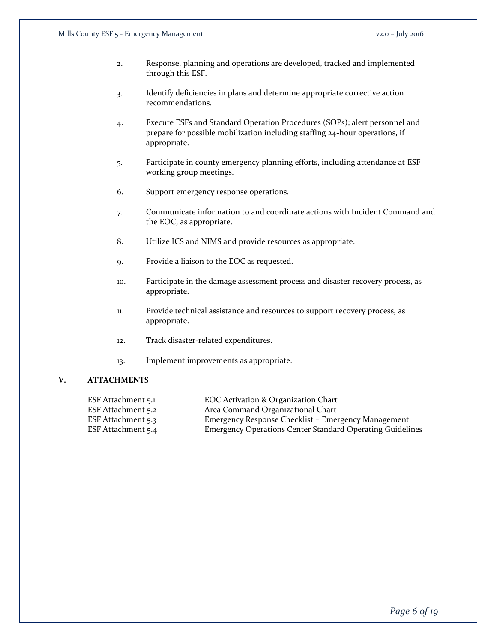- 2. Response, planning and operations are developed, tracked and implemented through this ESF.
- 3. Identify deficiencies in plans and determine appropriate corrective action recommendations.
- 4. Execute ESFs and Standard Operation Procedures (SOPs); alert personnel and prepare for possible mobilization including staffing 24-hour operations, if appropriate.
- 5. Participate in county emergency planning efforts, including attendance at ESF working group meetings.
- 6. Support emergency response operations.
- 7. Communicate information to and coordinate actions with Incident Command and the EOC, as appropriate.
- 8. Utilize ICS and NIMS and provide resources as appropriate.
- 9. Provide a liaison to the EOC as requested.
- 10. Participate in the damage assessment process and disaster recovery process, as appropriate.
- 11. Provide technical assistance and resources to support recovery process, as appropriate.
- 12. Track disaster-related expenditures.
- 13. Implement improvements as appropriate.

## **V. ATTACHMENTS**

| ESF Attachment 5.1 | EOC Activation & Organization Chart                              |
|--------------------|------------------------------------------------------------------|
| ESF Attachment 5.2 | Area Command Organizational Chart                                |
| ESF Attachment 5.3 | Emergency Response Checklist – Emergency Management              |
| ESF Attachment 5.4 | <b>Emergency Operations Center Standard Operating Guidelines</b> |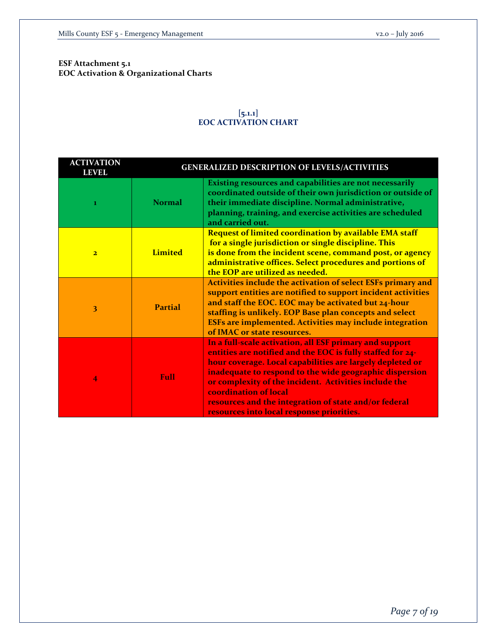**ESF Attachment 5.1 EOC Activation & Organizational Charts**

# **[5.1.1] EOC ACTIVATION CHART**

| <b>ACTIVATION</b><br><b>LEVEL</b> | <b>GENERALIZED DESCRIPTION OF LEVELS/ACTIVITIES</b> |                                                                                                                                                                                                                                                                                                                                                                                                                                       |  |
|-----------------------------------|-----------------------------------------------------|---------------------------------------------------------------------------------------------------------------------------------------------------------------------------------------------------------------------------------------------------------------------------------------------------------------------------------------------------------------------------------------------------------------------------------------|--|
| $\bf{1}$                          | <b>Normal</b>                                       | Existing resources and capabilities are not necessarily<br>coordinated outside of their own jurisdiction or outside of<br>their immediate discipline. Normal administrative,<br>planning, training, and exercise activities are scheduled<br>and carried out.                                                                                                                                                                         |  |
| $\overline{\mathbf{2}}$           | <b>Limited</b>                                      | <b>Request of limited coordination by available EMA staff</b><br>for a single jurisdiction or single discipline. This<br>is done from the incident scene, command post, or agency<br>administrative offices. Select procedures and portions of<br>the EOP are utilized as needed.                                                                                                                                                     |  |
| 3                                 | <b>Partial</b>                                      | Activities include the activation of select ESFs primary and<br>support entities are notified to support incident activities<br>and staff the EOC. EOC may be activated but 24-hour<br>staffing is unlikely. EOP Base plan concepts and select<br>ESFs are implemented. Activities may include integration<br>of IMAC or state resources.                                                                                             |  |
| $\overline{4}$                    | Full                                                | In a full-scale activation, all ESF primary and support<br>entities are notified and the EOC is fully staffed for 24-<br>hour coverage. Local capabilities are largely depleted or<br>inadequate to respond to the wide geographic dispersion<br>or complexity of the incident. Activities include the<br>coordination of local<br>resources and the integration of state and/or federal<br>resources into local response priorities. |  |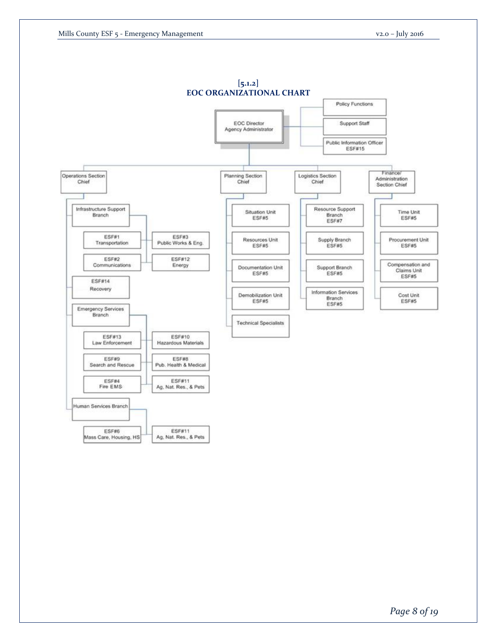

*Page 8 of 19*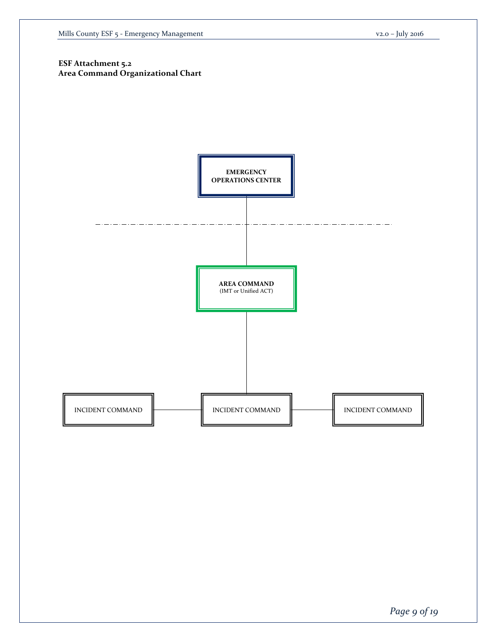# **ESF Attachment 5.2 Area Command Organizational Chart**

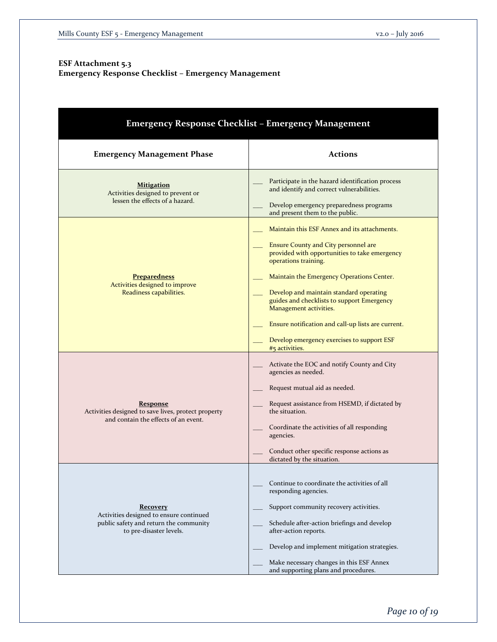# **ESF Attachment 5.3 Emergency Response Checklist – Emergency Management**

| <b>Emergency Response Checklist - Emergency Management</b>                                                               |                                                                                                                                                                                                                                                                                                                                                                                                                                                            |  |  |  |
|--------------------------------------------------------------------------------------------------------------------------|------------------------------------------------------------------------------------------------------------------------------------------------------------------------------------------------------------------------------------------------------------------------------------------------------------------------------------------------------------------------------------------------------------------------------------------------------------|--|--|--|
| <b>Emergency Management Phase</b>                                                                                        | <b>Actions</b>                                                                                                                                                                                                                                                                                                                                                                                                                                             |  |  |  |
| <b>Mitigation</b><br>Activities designed to prevent or<br>lessen the effects of a hazard.                                | Participate in the hazard identification process<br>and identify and correct vulnerabilities.<br>Develop emergency preparedness programs<br>and present them to the public.                                                                                                                                                                                                                                                                                |  |  |  |
| <b>Preparedness</b><br>Activities designed to improve<br>Readiness capabilities.                                         | Maintain this ESF Annex and its attachments.<br><b>Ensure County and City personnel are</b><br>provided with opportunities to take emergency<br>operations training.<br>Maintain the Emergency Operations Center.<br>Develop and maintain standard operating<br>guides and checklists to support Emergency<br>Management activities.<br>Ensure notification and call-up lists are current.<br>Develop emergency exercises to support ESF<br>#5 activities. |  |  |  |
| <b>Response</b><br>Activities designed to save lives, protect property<br>and contain the effects of an event.           | Activate the EOC and notify County and City<br>agencies as needed.<br>Request mutual aid as needed.<br>Request assistance from HSEMD, if dictated by<br>the situation.<br>Coordinate the activities of all responding<br>agencies.<br>Conduct other specific response actions as<br>dictated by the situation.                                                                                                                                             |  |  |  |
| Recovery<br>Activities designed to ensure continued<br>public safety and return the community<br>to pre-disaster levels. | Continue to coordinate the activities of all<br>responding agencies.<br>Support community recovery activities.<br>Schedule after-action briefings and develop<br>after-action reports.<br>Develop and implement mitigation strategies.<br>Make necessary changes in this ESF Annex<br>and supporting plans and procedures.                                                                                                                                 |  |  |  |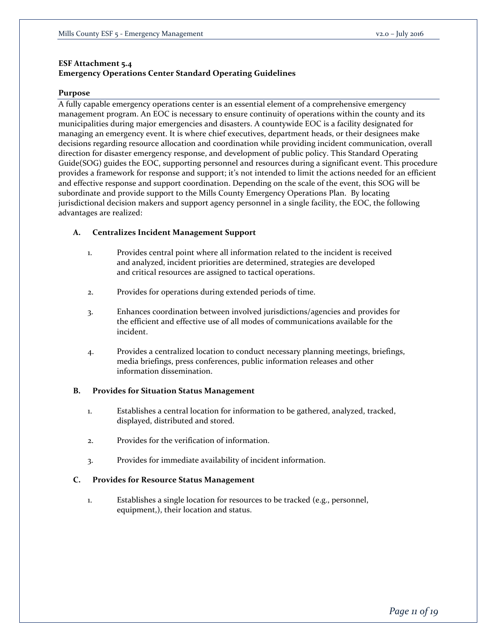## **ESF Attachment 5.4**

# **Emergency Operations Center Standard Operating Guidelines**

#### **Purpose**

A fully capable emergency operations center is an essential element of a comprehensive emergency management program. An EOC is necessary to ensure continuity of operations within the county and its municipalities during major emergencies and disasters. A countywide EOC is a facility designated for managing an emergency event. It is where chief executives, department heads, or their designees make decisions regarding resource allocation and coordination while providing incident communication, overall direction for disaster emergency response, and development of public policy. This Standard Operating Guide(SOG) guides the EOC, supporting personnel and resources during a significant event. This procedure provides a framework for response and support; it's not intended to limit the actions needed for an efficient and effective response and support coordination. Depending on the scale of the event, this SOG will be subordinate and provide support to the Mills County Emergency Operations Plan. By locating jurisdictional decision makers and support agency personnel in a single facility, the EOC, the following advantages are realized:

## **A. Centralizes Incident Management Support**

- 1. Provides central point where all information related to the incident is received and analyzed, incident priorities are determined, strategies are developed and critical resources are assigned to tactical operations.
- 2. Provides for operations during extended periods of time.
- 3. Enhances coordination between involved jurisdictions/agencies and provides for the efficient and effective use of all modes of communications available for the incident.
- 4. Provides a centralized location to conduct necessary planning meetings, briefings, media briefings, press conferences, public information releases and other information dissemination.

## **B. Provides for Situation Status Management**

- 1. Establishes a central location for information to be gathered, analyzed, tracked, displayed, distributed and stored.
- 2. Provides for the verification of information.
- 3. Provides for immediate availability of incident information.

#### **C. Provides for Resource Status Management**

1. Establishes a single location for resources to be tracked (e.g., personnel, equipment,), their location and status.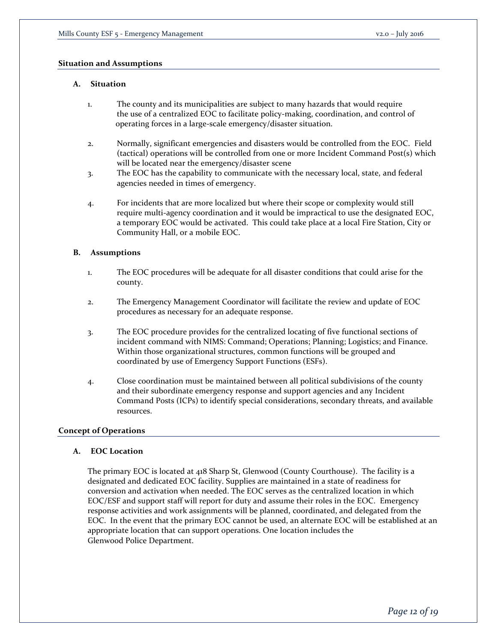#### **Situation and Assumptions**

#### **A. Situation**

- 1. The county and its municipalities are subject to many hazards that would require the use of a centralized EOC to facilitate policy-making, coordination, and control of operating forces in a large-scale emergency/disaster situation.
- 2. Normally, significant emergencies and disasters would be controlled from the EOC. Field (tactical) operations will be controlled from one or more Incident Command Post(s) which will be located near the emergency/disaster scene
- 3. The EOC has the capability to communicate with the necessary local, state, and federal agencies needed in times of emergency.
- 4. For incidents that are more localized but where their scope or complexity would still require multi-agency coordination and it would be impractical to use the designated EOC, a temporary EOC would be activated. This could take place at a local Fire Station, City or Community Hall, or a mobile EOC.

#### **B. Assumptions**

- 1. The EOC procedures will be adequate for all disaster conditions that could arise for the county.
- 2. The Emergency Management Coordinator will facilitate the review and update of EOC procedures as necessary for an adequate response.
- 3. The EOC procedure provides for the centralized locating of five functional sections of incident command with NIMS: Command; Operations; Planning; Logistics; and Finance. Within those organizational structures, common functions will be grouped and coordinated by use of Emergency Support Functions (ESFs).
- 4. Close coordination must be maintained between all political subdivisions of the county and their subordinate emergency response and support agencies and any Incident Command Posts (ICPs) to identify special considerations, secondary threats, and available resources.

## **Concept of Operations**

## **A. EOC Location**

The primary EOC is located at 418 Sharp St, Glenwood (County Courthouse). The facility is a designated and dedicated EOC facility. Supplies are maintained in a state of readiness for conversion and activation when needed. The EOC serves as the centralized location in which EOC/ESF and support staff will report for duty and assume their roles in the EOC. Emergency response activities and work assignments will be planned, coordinated, and delegated from the EOC. In the event that the primary EOC cannot be used, an alternate EOC will be established at an appropriate location that can support operations. One location includes the Glenwood Police Department.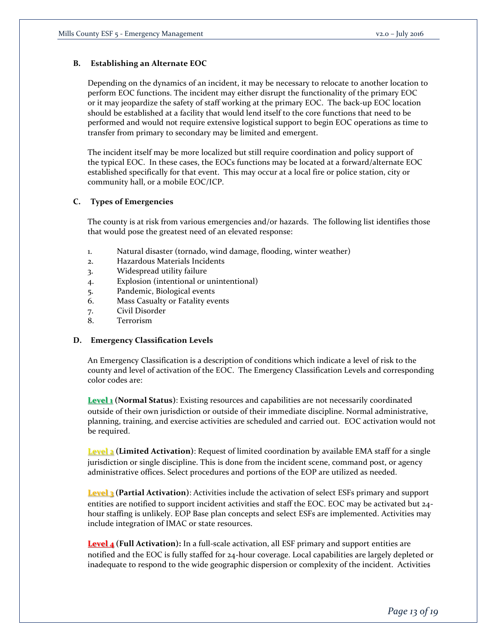# **B. Establishing an Alternate EOC**

Depending on the dynamics of an incident, it may be necessary to relocate to another location to perform EOC functions. The incident may either disrupt the functionality of the primary EOC or it may jeopardize the safety of staff working at the primary EOC. The back-up EOC location should be established at a facility that would lend itself to the core functions that need to be performed and would not require extensive logistical support to begin EOC operations as time to transfer from primary to secondary may be limited and emergent.

The incident itself may be more localized but still require coordination and policy support of the typical EOC. In these cases, the EOCs functions may be located at a forward/alternate EOC established specifically for that event. This may occur at a local fire or police station, city or community hall, or a mobile EOC/ICP.

# **C. Types of Emergencies**

The county is at risk from various emergencies and/or hazards. The following list identifies those that would pose the greatest need of an elevated response:

- 1. Natural disaster (tornado, wind damage, flooding, winter weather)
- 2. Hazardous Materials Incidents
- 3. Widespread utility failure
- 4. Explosion (intentional or unintentional)
- 5. Pandemic, Biological events
- 6. Mass Casualty or Fatality events
- 7. Civil Disorder
- 8. Terrorism

## **D. Emergency Classification Levels**

An Emergency Classification is a description of conditions which indicate a level of risk to the county and level of activation of the EOC. The Emergency Classification Levels and corresponding color codes are:

**Level 1 (Normal Status)**: Existing resources and capabilities are not necessarily coordinated outside of their own jurisdiction or outside of their immediate discipline. Normal administrative, planning, training, and exercise activities are scheduled and carried out. EOC activation would not be required.

**Level 2 (Limited Activation)**: Request of limited coordination by available EMA staff for a single jurisdiction or single discipline. This is done from the incident scene, command post, or agency administrative offices. Select procedures and portions of the EOP are utilized as needed.

**Level 3 (Partial Activation)**: Activities include the activation of select ESFs primary and support entities are notified to support incident activities and staff the EOC. EOC may be activated but 24 hour staffing is unlikely. EOP Base plan concepts and select ESFs are implemented. Activities may include integration of IMAC or state resources.

**Level 4 (Full Activation):** In a full-scale activation, all ESF primary and support entities are notified and the EOC is fully staffed for 24-hour coverage. Local capabilities are largely depleted or inadequate to respond to the wide geographic dispersion or complexity of the incident. Activities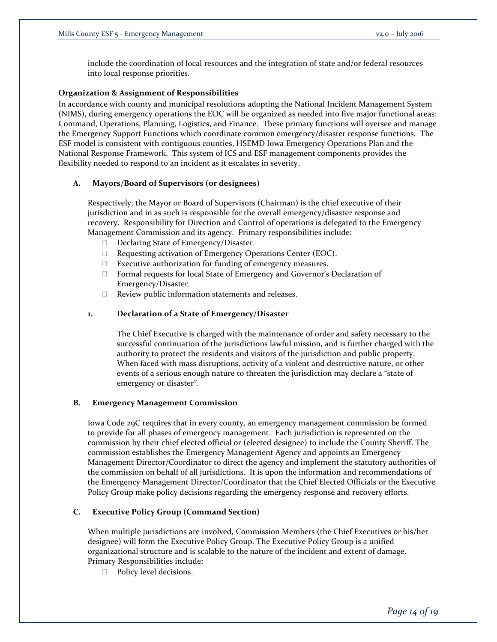include the coordination of local resources and the integration of state and/or federal resources into local response priorities.

#### **Organization & Assignment of Responsibilities**

In accordance with county and municipal resolutions adopting the National Incident Management System (NIMS), during emergency operations the EOC will be organized as needed into five major functional areas: Command, Operations, Planning, Logistics, and Finance. These primary functions will oversee and manage the Emergency Support Functions which coordinate common emergency/disaster response functions. The ESF model is consistent with contiguous counties, HSEMD Iowa Emergency Operations Plan and the National Response Framework. This system of ICS and ESF management components provides the flexibility needed to respond to an incident as it escalates in severity.

#### **A. Mayors/Board of Supervisors (or designees)**

Respectively, the Mayor or Board of Supervisors (Chairman) is the chief executive of their jurisdiction and in as such is responsible for the overall emergency/disaster response and recovery. Responsibility for Direction and Control of operations is delegated to the Emergency Management Commission and its agency. Primary responsibilities include:

- Declaring State of Emergency/Disaster.
- □ Requesting activation of Emergency Operations Center (EOC).
- Executive authorization for funding of emergency measures.
- $\Box$  Formal requests for local State of Emergency and Governor's Declaration of Emergency/Disaster.
- $\Box$  Review public information statements and releases.

#### **1. Declaration of a State of Emergency/Disaster**

The Chief Executive is charged with the maintenance of order and safety necessary to the successful continuation of the jurisdictions lawful mission, and is further charged with the authority to protect the residents and visitors of the jurisdiction and public property. When faced with mass disruptions, activity of a violent and destructive nature, or other events of a serious enough nature to threaten the jurisdiction may declare a "state of emergency or disaster".

#### **B. Emergency Management Commission**

Iowa Code 29C requires that in every county, an emergency management commission be formed to provide for all phases of emergency management. Each jurisdiction is represented on the commission by their chief elected official or (elected designee) to include the County Sheriff. The commission establishes the Emergency Management Agency and appoints an Emergency Management Director/Coordinator to direct the agency and implement the statutory authorities of the commission on behalf of all jurisdictions. It is upon the information and recommendations of the Emergency Management Director/Coordinator that the Chief Elected Officials or the Executive Policy Group make policy decisions regarding the emergency response and recovery efforts.

#### **C. Executive Policy Group (Command Section)**

When multiple jurisdictions are involved, Commission Members (the Chief Executives or his/her designee) will form the Executive Policy Group. The Executive Policy Group is a unified organizational structure and is scalable to the nature of the incident and extent of damage. Primary Responsibilities include:

D Policy level decisions.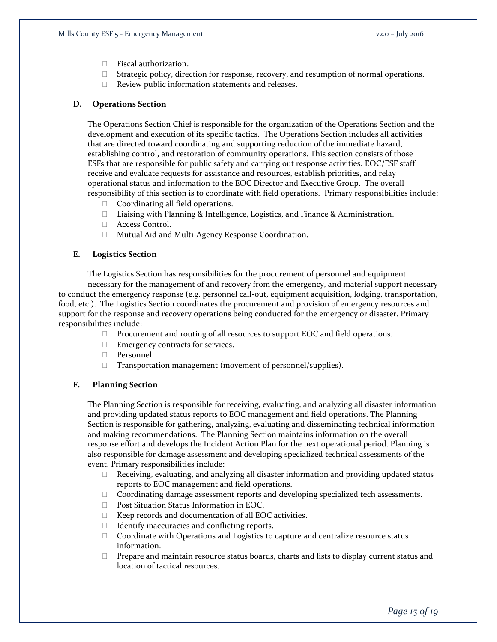- □ Fiscal authorization.
- $\Box$  Strategic policy, direction for response, recovery, and resumption of normal operations.
- $\Box$  Review public information statements and releases.

#### **D. Operations Section**

The Operations Section Chief is responsible for the organization of the Operations Section and the development and execution of its specific tactics. The Operations Section includes all activities that are directed toward coordinating and supporting reduction of the immediate hazard, establishing control, and restoration of community operations. This section consists of those ESFs that are responsible for public safety and carrying out response activities. EOC/ESF staff receive and evaluate requests for assistance and resources, establish priorities, and relay operational status and information to the EOC Director and Executive Group. The overall responsibility of this section is to coordinate with field operations. Primary responsibilities include:

- $\Box$  Coordinating all field operations.
- □ Liaising with Planning & Intelligence, Logistics, and Finance & Administration.
- □ Access Control.
- Mutual Aid and Multi-Agency Response Coordination.

#### **E. Logistics Section**

The Logistics Section has responsibilities for the procurement of personnel and equipment necessary for the management of and recovery from the emergency, and material support necessary to conduct the emergency response (e.g. personnel call-out, equipment acquisition, lodging, transportation, food, etc.). The Logistics Section coordinates the procurement and provision of emergency resources and support for the response and recovery operations being conducted for the emergency or disaster. Primary responsibilities include:

- □ Procurement and routing of all resources to support EOC and field operations.
- **Emergency contracts for services.**
- Personnel.
- □ Transportation management (movement of personnel/supplies).

#### **F. Planning Section**

The Planning Section is responsible for receiving, evaluating, and analyzing all disaster information and providing updated status reports to EOC management and field operations. The Planning Section is responsible for gathering, analyzing, evaluating and disseminating technical information and making recommendations. The Planning Section maintains information on the overall response effort and develops the Incident Action Plan for the next operational period. Planning is also responsible for damage assessment and developing specialized technical assessments of the event. Primary responsibilities include:

- $\Box$  Receiving, evaluating, and analyzing all disaster information and providing updated status reports to EOC management and field operations.
- Coordinating damage assessment reports and developing specialized tech assessments.
- □ Post Situation Status Information in EOC.
- $\Box$  Keep records and documentation of all EOC activities.
- $\Box$  Identify inaccuracies and conflicting reports.
- $\Box$  Coordinate with Operations and Logistics to capture and centralize resource status information.
- $\Box$  Prepare and maintain resource status boards, charts and lists to display current status and location of tactical resources.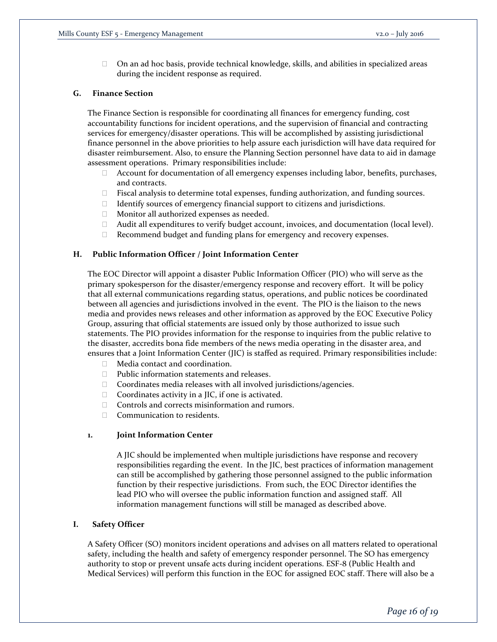$\Box$  On an ad hoc basis, provide technical knowledge, skills, and abilities in specialized areas during the incident response as required.

## **G. Finance Section**

The Finance Section is responsible for coordinating all finances for emergency funding, cost accountability functions for incident operations, and the supervision of financial and contracting services for emergency/disaster operations. This will be accomplished by assisting jurisdictional finance personnel in the above priorities to help assure each jurisdiction will have data required for disaster reimbursement. Also, to ensure the Planning Section personnel have data to aid in damage assessment operations. Primary responsibilities include:

- $\Box$  Account for documentation of all emergency expenses including labor, benefits, purchases, and contracts.
- Fiscal analysis to determine total expenses, funding authorization, and funding sources.
- $\Box$  Identify sources of emergency financial support to citizens and jurisdictions.
- Monitor all authorized expenses as needed.
- $\Box$  Audit all expenditures to verify budget account, invoices, and documentation (local level).
- $\Box$  Recommend budget and funding plans for emergency and recovery expenses.

#### **H. Public Information Officer / Joint Information Center**

The EOC Director will appoint a disaster Public Information Officer (PIO) who will serve as the primary spokesperson for the disaster/emergency response and recovery effort. It will be policy that all external communications regarding status, operations, and public notices be coordinated between all agencies and jurisdictions involved in the event. The PIO is the liaison to the news media and provides news releases and other information as approved by the EOC Executive Policy Group, assuring that official statements are issued only by those authorized to issue such statements. The PIO provides information for the response to inquiries from the public relative to the disaster, accredits bona fide members of the news media operating in the disaster area, and ensures that a Joint Information Center (JIC) is staffed as required. Primary responsibilities include:

- □ Media contact and coordination.
- $\Box$  Public information statements and releases.
- $\Box$  Coordinates media releases with all involved jurisdictions/agencies.
- $\Box$  Coordinates activity in a JIC, if one is activated.
- $\Box$  Controls and corrects misinformation and rumors.
- □ Communication to residents.

#### **1. Joint Information Center**

A JIC should be implemented when multiple jurisdictions have response and recovery responsibilities regarding the event. In the JIC, best practices of information management can still be accomplished by gathering those personnel assigned to the public information function by their respective jurisdictions. From such, the EOC Director identifies the lead PIO who will oversee the public information function and assigned staff. All information management functions will still be managed as described above.

#### **I. Safety Officer**

A Safety Officer (SO) monitors incident operations and advises on all matters related to operational safety, including the health and safety of emergency responder personnel. The SO has emergency authority to stop or prevent unsafe acts during incident operations. ESF-8 (Public Health and Medical Services) will perform this function in the EOC for assigned EOC staff. There will also be a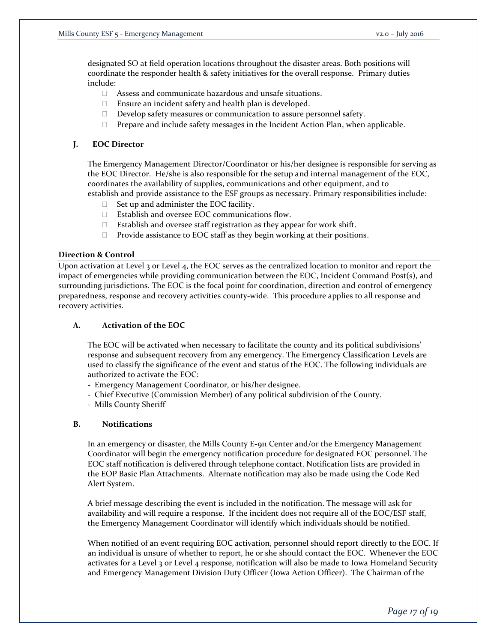designated SO at field operation locations throughout the disaster areas. Both positions will coordinate the responder health & safety initiatives for the overall response. Primary duties include:

- Assess and communicate hazardous and unsafe situations.
- $\Box$  Ensure an incident safety and health plan is developed.
- Develop safety measures or communication to assure personnel safety.
- $\Box$  Prepare and include safety messages in the Incident Action Plan, when applicable.

# **J. EOC Director**

The Emergency Management Director/Coordinator or his/her designee is responsible for serving as the EOC Director. He/she is also responsible for the setup and internal management of the EOC, coordinates the availability of supplies, communications and other equipment, and to establish and provide assistance to the ESF groups as necessary. Primary responsibilities include:

- $\Box$  Set up and administer the EOC facility.
- □ Establish and oversee EOC communications flow.
- $\Box$  Establish and oversee staff registration as they appear for work shift.
- $\Box$  Provide assistance to EOC staff as they begin working at their positions.

## **Direction & Control**

Upon activation at Level 3 or Level 4, the EOC serves as the centralized location to monitor and report the impact of emergencies while providing communication between the EOC, Incident Command Post(s), and surrounding jurisdictions. The EOC is the focal point for coordination, direction and control of emergency preparedness, response and recovery activities county-wide. This procedure applies to all response and recovery activities.

# **A. Activation of the EOC**

The EOC will be activated when necessary to facilitate the county and its political subdivisions' response and subsequent recovery from any emergency. The Emergency Classification Levels are used to classify the significance of the event and status of the EOC. The following individuals are authorized to activate the EOC:

- Emergency Management Coordinator, or his/her designee.
- Chief Executive (Commission Member) of any political subdivision of the County.
- Mills County Sheriff

## **B. Notifications**

In an emergency or disaster, the Mills County E-911 Center and/or the Emergency Management Coordinator will begin the emergency notification procedure for designated EOC personnel. The EOC staff notification is delivered through telephone contact. Notification lists are provided in the EOP Basic Plan Attachments. Alternate notification may also be made using the Code Red Alert System.

A brief message describing the event is included in the notification. The message will ask for availability and will require a response. If the incident does not require all of the EOC/ESF staff, the Emergency Management Coordinator will identify which individuals should be notified.

When notified of an event requiring EOC activation, personnel should report directly to the EOC. If an individual is unsure of whether to report, he or she should contact the EOC. Whenever the EOC activates for a Level 3 or Level 4 response, notification will also be made to Iowa Homeland Security and Emergency Management Division Duty Officer (Iowa Action Officer). The Chairman of the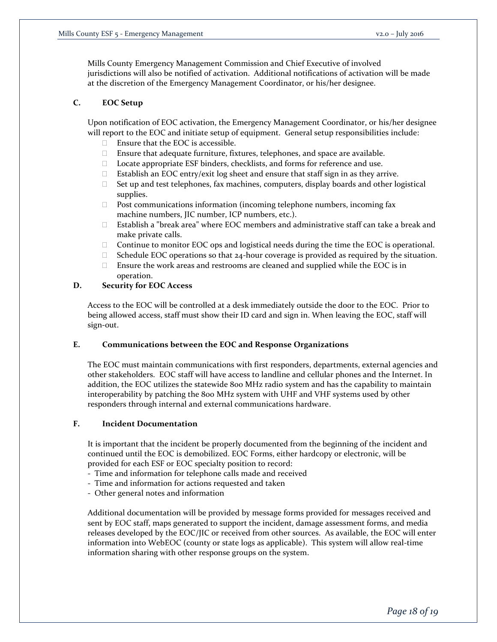Mills County Emergency Management Commission and Chief Executive of involved jurisdictions will also be notified of activation. Additional notifications of activation will be made at the discretion of the Emergency Management Coordinator, or his/her designee.

# **C. EOC Setup**

Upon notification of EOC activation, the Emergency Management Coordinator, or his/her designee will report to the EOC and initiate setup of equipment. General setup responsibilities include:

- $\Box$  Ensure that the EOC is accessible.
- $\Box$  Ensure that adequate furniture, fixtures, telephones, and space are available.
- □ Locate appropriate ESF binders, checklists, and forms for reference and use.
- $\Box$  Establish an EOC entry/exit log sheet and ensure that staff sign in as they arrive.
- $\Box$  Set up and test telephones, fax machines, computers, display boards and other logistical supplies.
- $\Box$  Post communications information (incoming telephone numbers, incoming fax machine numbers, JIC number, ICP numbers, etc.).
- $\Box$  Establish a "break area" where EOC members and administrative staff can take a break and make private calls.
- $\Box$  Continue to monitor EOC ops and logistical needs during the time the EOC is operational.
- $\Box$  Schedule EOC operations so that 24-hour coverage is provided as required by the situation.
- $\Box$  Ensure the work areas and restrooms are cleaned and supplied while the EOC is in operation.

# **D. Security for EOC Access**

Access to the EOC will be controlled at a desk immediately outside the door to the EOC. Prior to being allowed access, staff must show their ID card and sign in. When leaving the EOC, staff will sign-out.

## **E. Communications between the EOC and Response Organizations**

The EOC must maintain communications with first responders, departments, external agencies and other stakeholders. EOC staff will have access to landline and cellular phones and the Internet. In addition, the EOC utilizes the statewide 800 MHz radio system and has the capability to maintain interoperability by patching the 800 MHz system with UHF and VHF systems used by other responders through internal and external communications hardware.

## **F. Incident Documentation**

It is important that the incident be properly documented from the beginning of the incident and continued until the EOC is demobilized. EOC Forms, either hardcopy or electronic, will be provided for each ESF or EOC specialty position to record:

- Time and information for telephone calls made and received
- Time and information for actions requested and taken
- Other general notes and information

Additional documentation will be provided by message forms provided for messages received and sent by EOC staff, maps generated to support the incident, damage assessment forms, and media releases developed by the EOC/JIC or received from other sources. As available, the EOC will enter information into WebEOC (county or state logs as applicable). This system will allow real-time information sharing with other response groups on the system.